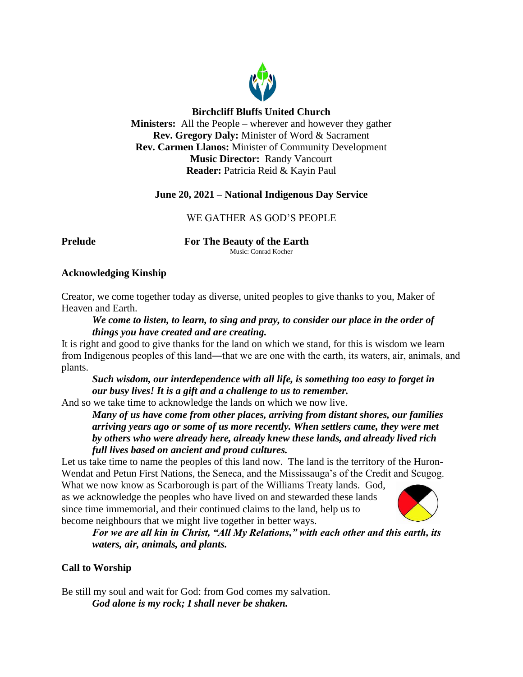

# **Birchcliff Bluffs United Church**

**Ministers:** All the People – wherever and however they gather **Rev. Gregory Daly:** Minister of Word & Sacrament **Rev. Carmen Llanos:** Minister of Community Development **Music Director:** Randy Vancourt **Reader:** Patricia Reid & Kayin Paul

# **June 20, 2021 – National Indigenous Day Service**

# WE GATHER AS GOD'S PEOPLE

**Prelude For The Beauty of the Earth** Music: Conrad Kocher

# **Acknowledging Kinship**

Creator, we come together today as diverse, united peoples to give thanks to you, Maker of Heaven and Earth.

# *We come to listen, to learn, to sing and pray, to consider our place in the order of things you have created and are creating.*

It is right and good to give thanks for the land on which we stand, for this is wisdom we learn from Indigenous peoples of this land—that we are one with the earth, its waters, air, animals, and plants.

*Such wisdom, our interdependence with all life, is something too easy to forget in our busy lives! It is a gift and a challenge to us to remember.*

And so we take time to acknowledge the lands on which we now live.

*Many of us have come from other places, arriving from distant shores, our families arriving years ago or some of us more recently. When settlers came, they were met by others who were already here, already knew these lands, and already lived rich full lives based on ancient and proud cultures.*

Let us take time to name the peoples of this land now. The land is the territory of the Huron-Wendat and Petun First Nations, the Seneca, and the Mississauga's of the Credit and Scugog.

What we now know as Scarborough is part of the Williams Treaty lands. God, as we acknowledge the peoples who have lived on and stewarded these lands since time immemorial, and their continued claims to the land, help us to become neighbours that we might live together in better ways.



*For we are all kin in Christ, "All My Relations," with each other and this earth, its waters, air, animals, and plants.*

# **Call to Worship**

Be still my soul and wait for God: from God comes my salvation. *God alone is my rock; I shall never be shaken.*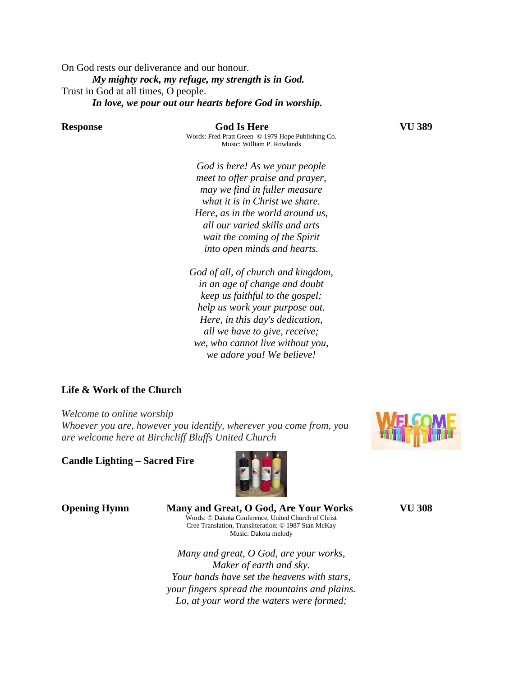On God rests our deliverance and our honour. *My mighty rock, my refuge, my strength is in God.* Trust in God at all times, O people. *In love, we pour out our hearts before God in worship.*

**Response God Is Here VU 389** Words: Fred Pratt Green © 1979 Hope Publishing Co.

*God is here! As we your people meet to offer praise and prayer, may we find in fuller measure what it is in Christ we share. Here, as in the world around us, all our varied skills and arts*

*wait the coming of the Spirit into open minds and hearts.*

Music: William P. Rowlands

*God of all, of church and kingdom, in an age of change and doubt keep us faithful to the gospel; help us work your purpose out. Here, in this day's dedication, all we have to give, receive; we, who cannot live without you, we adore you! We believe!*

**Life & Work of the Church** 

*Welcome to online worship Whoever you are, however you identify, wherever you come from, you are welcome here at Birchcliff Bluffs United Church*

**Candle Lighting – Sacred Fire**



**Opening Hymn Many and Great, O God, Are Your Works VU 308**  Words: © Dakota Conference, United Church of Christ Cree Translation, Transliteration: © 1987 Stan McKay Music: Dakota melody

> *Many and great, O God, are your works, Maker of earth and sky. Your hands have set the heavens with stars, your fingers spread the mountains and plains. Lo, at your word the waters were formed;*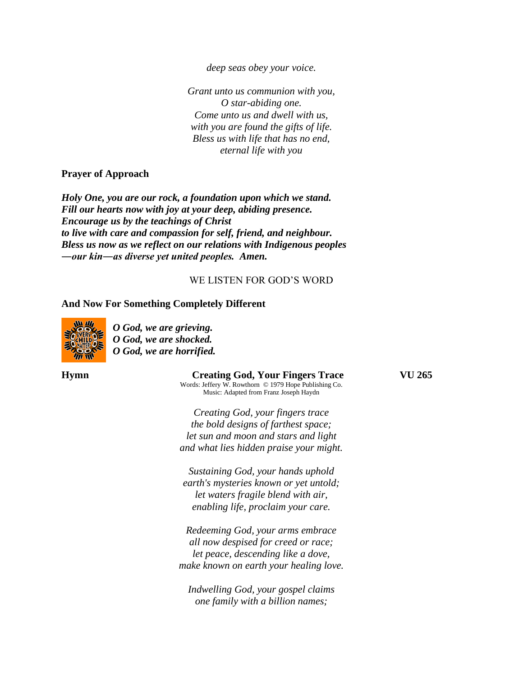*deep seas obey your voice.*

*Grant unto us communion with you, O star-abiding one. Come unto us and dwell with us, with you are found the gifts of life. Bless us with life that has no end, eternal life with you* 

#### **Prayer of Approach**

*Holy One, you are our rock, a foundation upon which we stand. Fill our hearts now with joy at your deep, abiding presence. Encourage us by the teachings of Christ to live with care and compassion for self, friend, and neighbour. Bless us now as we reflect on our relations with Indigenous peoples ―our kin―as diverse yet united peoples. Amen.*

#### WE LISTEN FOR GOD'S WORD

#### **And Now For Something Completely Different**



*O God, we are grieving. O God, we are shocked. O God, we are horrified.*

#### **Hymn Creating God, Your Fingers Trace VU 265**

Words: Jeffery W. Rowthorn © 1979 Hope Publishing Co. Music: Adapted from Franz Joseph Haydn

*Creating God, your fingers trace the bold designs of farthest space; let sun and moon and stars and light and what lies hidden praise your might.*

*Sustaining God, your hands uphold earth's mysteries known or yet untold; let waters fragile blend with air, enabling life, proclaim your care.*

*Redeeming God, your arms embrace all now despised for creed or race; let peace, descending like a dove, make known on earth your healing love.*

*Indwelling God, your gospel claims one family with a billion names;*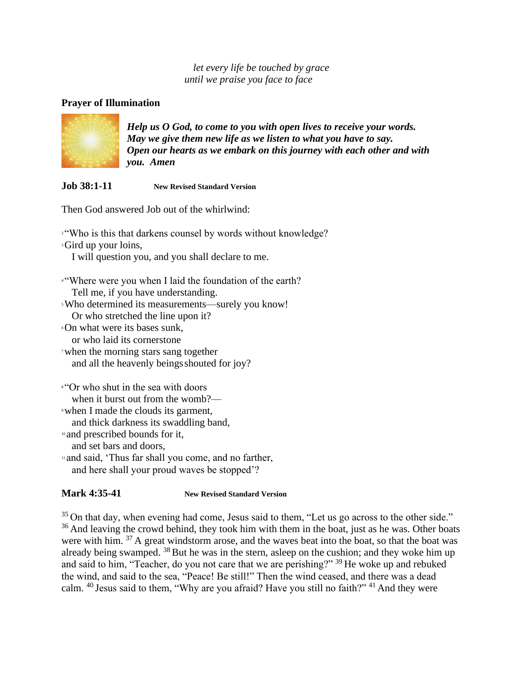*let every life be touched by grace until we praise you face to face*

# **Prayer of Illumination**



*Help us O God, to come to you with open lives to receive your words. May we give them new life as we listen to what you have to say. Open our hearts as we embark on this journey with each other and with you. Amen*

**Job 38:1-11 New Revised Standard Version**

Then God answered Job out of the whirlwind:

<sup>2</sup> "Who is this that darkens counsel by words without knowledge? <sup>3</sup>Gird up your loins, I will question you, and you shall declare to me. <sup>4</sup> "Where were you when I laid the foundation of the earth? Tell me, if you have understanding. <sup>5</sup>Who determined its measurements—surely you know! Or who stretched the line upon it? <sup>6</sup>On what were its bases sunk, or who laid its cornerstone <sup>7</sup>when the morning stars sang together and all the heavenly beings shouted for joy? <sup>8</sup> "Or who shut in the sea with doors" when it burst out from the womb?— <sup>9</sup>when I made the clouds its garment, and thick darkness its swaddling band, <sup>10</sup> and prescribed bounds for it, and set bars and doors, <sup>11</sup> and said, 'Thus far shall you come, and no farther,

and here shall your proud waves be stopped'?

# **Mark 4:35-41 New Revised Standard Version**

 $35$  On that day, when evening had come, Jesus said to them, "Let us go across to the other side." <sup>36</sup> And leaving the crowd behind, they took him with them in the boat, just as he was. Other boats were with him.  $37$  A great windstorm arose, and the waves beat into the boat, so that the boat was already being swamped.  $38$  But he was in the stern, asleep on the cushion; and they woke him up and said to him, "Teacher, do you not care that we are perishing?" <sup>39</sup> He woke up and rebuked the wind, and said to the sea, "Peace! Be still!" Then the wind ceased, and there was a dead calm.  $40$  Jesus said to them, "Why are you afraid? Have you still no faith?"  $41$  And they were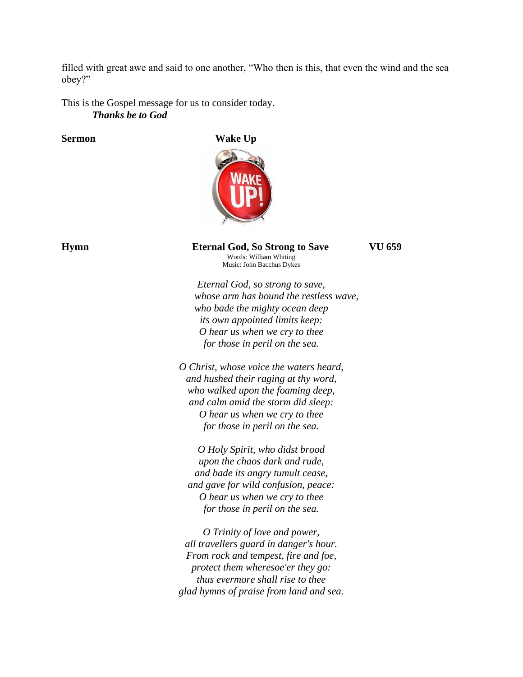filled with great awe and said to one another, "Who then is this, that even the wind and the sea obey?"

This is the Gospel message for us to consider today. *Thanks be to God*

**Sermon Wake Up**



**Hymn Eternal God, So Strong to Save VU 659**

*Eternal God, so strong to save, whose arm has bound the restless wave, who bade the mighty ocean deep its own appointed limits keep: O hear us when we cry to thee for those in peril on the sea.*

Words: William Whiting Music: John Bacchus Dykes

*O Christ, whose voice the waters heard, and hushed their raging at thy word, who walked upon the foaming deep, and calm amid the storm did sleep: O hear us when we cry to thee for those in peril on the sea.*

*O Holy Spirit, who didst brood upon the chaos dark and rude, and bade its angry tumult cease, and gave for wild confusion, peace: O hear us when we cry to thee for those in peril on the sea.*

*O Trinity of love and power, all travellers guard in danger's hour. From rock and tempest, fire and foe, protect them wheresoe'er they go: thus evermore shall rise to thee glad hymns of praise from land and sea.*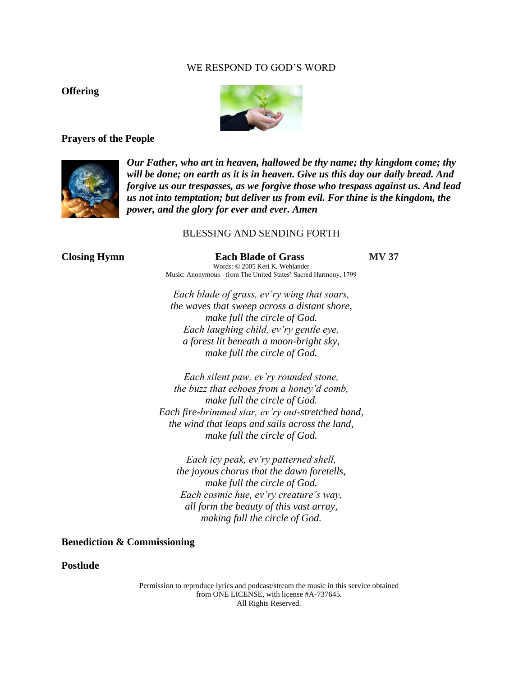## WE RESPOND TO GOD'S WORD

## **Offering**



#### **Prayers of the People**



*Our Father, who art in heaven, hallowed be thy name; thy kingdom come; thy will be done; on earth as it is in heaven. Give us this day our daily bread. And forgive us our trespasses, as we forgive those who trespass against us. And lead us not into temptation; but deliver us from evil. For thine is the kingdom, the power, and the glory for ever and ever. Amen*

#### BLESSING AND SENDING FORTH

**Closing Hymn Each Blade of Grass MV 37** Words: © 2005 Keri K. Wehlander Music: Anonymous - from The United States' Sacred Harmony, 1799

> *Each blade of grass, ev'ry wing that soars, the waves that sweep across a distant shore, make full the circle of God. Each laughing child, ev'ry gentle eye, a forest lit beneath a moon-bright sky, make full the circle of God.*

*Each silent paw, ev'ry rounded stone, the buzz that echoes from a honey'd comb, make full the circle of God. Each fire-brimmed star, ev'ry out-stretched hand, the wind that leaps and sails across the land, make full the circle of God.*

*Each icy peak, ev'ry patterned shell, the joyous chorus that the dawn foretells, make full the circle of God. Each cosmic hue, ev'ry creature's way, all form the beauty of this vast array, making full the circle of God.*

**Benediction & Commissioning**

**Postlude** 

Permission to reproduce lyrics and podcast/stream the music in this service obtained from ONE LICENSE, with license #A-737645. All Rights Reserved.